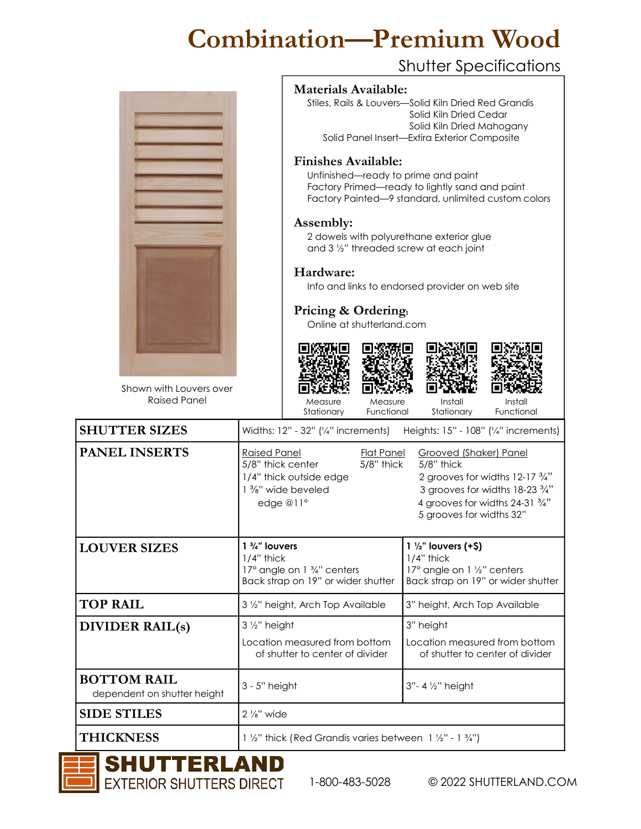## Combination—Premium Wood

## Shutter Specifications